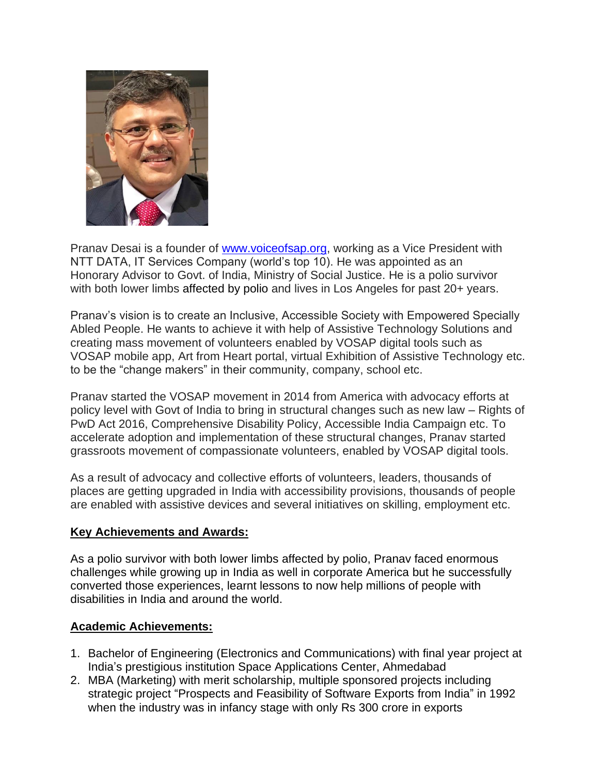

Pranav Desai is a founder of [www.voiceofsap.org,](http://www.voiceofsap.org/) working as a Vice President with NTT DATA, IT Services Company (world's top 10). He was appointed as an Honorary Advisor to Govt. of India, Ministry of Social Justice. He is a polio survivor with both lower limbs affected by polio and lives in Los Angeles for past 20+ years.

Pranav's vision is to create an Inclusive, Accessible Society with Empowered Specially Abled People. He wants to achieve it with help of Assistive Technology Solutions and creating mass movement of volunteers enabled by VOSAP digital tools such as VOSAP mobile app, Art from Heart portal, virtual Exhibition of Assistive Technology etc. to be the "change makers" in their community, company, school etc.

Pranav started the VOSAP movement in 2014 from America with advocacy efforts at policy level with Govt of India to bring in structural changes such as new law – Rights of PwD Act 2016, Comprehensive Disability Policy, Accessible India Campaign etc. To accelerate adoption and implementation of these structural changes, Pranav started grassroots movement of compassionate volunteers, enabled by VOSAP digital tools.

As a result of advocacy and collective efforts of volunteers, leaders, thousands of places are getting upgraded in India with accessibility provisions, thousands of people are enabled with assistive devices and several initiatives on skilling, employment etc.

### **Key Achievements and Awards:**

As a polio survivor with both lower limbs affected by polio, Pranav faced enormous challenges while growing up in India as well in corporate America but he successfully converted those experiences, learnt lessons to now help millions of people with disabilities in India and around the world.

### **Academic Achievements:**

- 1. Bachelor of Engineering (Electronics and Communications) with final year project at India's prestigious institution Space Applications Center, Ahmedabad
- 2. MBA (Marketing) with merit scholarship, multiple sponsored projects including strategic project "Prospects and Feasibility of Software Exports from India" in 1992 when the industry was in infancy stage with only Rs 300 crore in exports